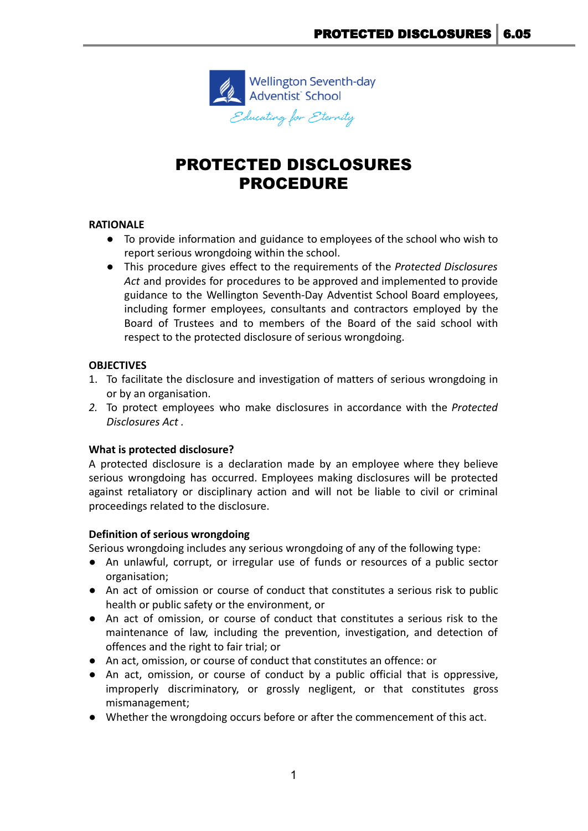

# PROTECTED DISCLOSURES PROCEDURE

## **RATIONALE**

- To provide information and guidance to employees of the school who wish to report serious wrongdoing within the school.
- This procedure gives effect to the requirements of the *Protected Disclosures Act* and provides for procedures to be approved and implemented to provide guidance to the Wellington Seventh-Day Adventist School Board employees, including former employees, consultants and contractors employed by the Board of Trustees and to members of the Board of the said school with respect to the protected disclosure of serious wrongdoing.

## **OBJECTIVES**

- 1. To facilitate the disclosure and investigation of matters of serious wrongdoing in or by an organisation.
- *2.* To protect employees who make disclosures in accordance with the *Protected Disclosures Act .*

## **What is protected disclosure?**

A protected disclosure is a declaration made by an employee where they believe serious wrongdoing has occurred. Employees making disclosures will be protected against retaliatory or disciplinary action and will not be liable to civil or criminal proceedings related to the disclosure.

## **Definition of serious wrongdoing**

Serious wrongdoing includes any serious wrongdoing of any of the following type:

- An unlawful, corrupt, or irregular use of funds or resources of a public sector organisation;
- An act of omission or course of conduct that constitutes a serious risk to public health or public safety or the environment, or
- An act of omission, or course of conduct that constitutes a serious risk to the maintenance of law, including the prevention, investigation, and detection of offences and the right to fair trial; or
- An act, omission, or course of conduct that constitutes an offence: or
- An act, omission, or course of conduct by a public official that is oppressive, improperly discriminatory, or grossly negligent, or that constitutes gross mismanagement;
- Whether the wrongdoing occurs before or after the commencement of this act.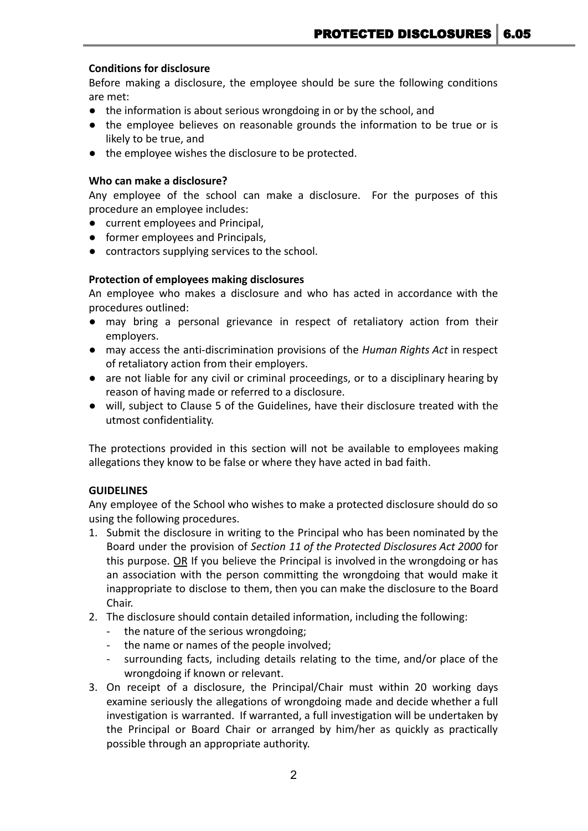## **Conditions for disclosure**

Before making a disclosure, the employee should be sure the following conditions are met:

- the information is about serious wrongdoing in or by the school, and
- the employee believes on reasonable grounds the information to be true or is likely to be true, and
- the employee wishes the disclosure to be protected.

## **Who can make a disclosure?**

Any employee of the school can make a disclosure. For the purposes of this procedure an employee includes:

- current employees and Principal,
- former employees and Principals,
- contractors supplying services to the school.

## **Protection of employees making disclosures**

An employee who makes a disclosure and who has acted in accordance with the procedures outlined:

- may bring a personal grievance in respect of retaliatory action from their employers.
- may access the anti-discrimination provisions of the *Human Rights Act* in respect of retaliatory action from their employers.
- are not liable for any civil or criminal proceedings, or to a disciplinary hearing by reason of having made or referred to a disclosure.
- will, subject to Clause 5 of the Guidelines, have their disclosure treated with the utmost confidentiality.

The protections provided in this section will not be available to employees making allegations they know to be false or where they have acted in bad faith.

## **GUIDELINES**

Any employee of the School who wishes to make a protected disclosure should do so using the following procedures.

- 1. Submit the disclosure in writing to the Principal who has been nominated by the Board under the provision of *Section 11 of the Protected Disclosures Act 2000* for this purpose. OR If you believe the Principal is involved in the wrongdoing or has an association with the person committing the wrongdoing that would make it inappropriate to disclose to them, then you can make the disclosure to the Board Chair.
- 2. The disclosure should contain detailed information, including the following:
	- the nature of the serious wrongdoing;
	- the name or names of the people involved;
	- surrounding facts, including details relating to the time, and/or place of the wrongdoing if known or relevant.
- 3. On receipt of a disclosure, the Principal/Chair must within 20 working days examine seriously the allegations of wrongdoing made and decide whether a full investigation is warranted. If warranted, a full investigation will be undertaken by the Principal or Board Chair or arranged by him/her as quickly as practically possible through an appropriate authority.